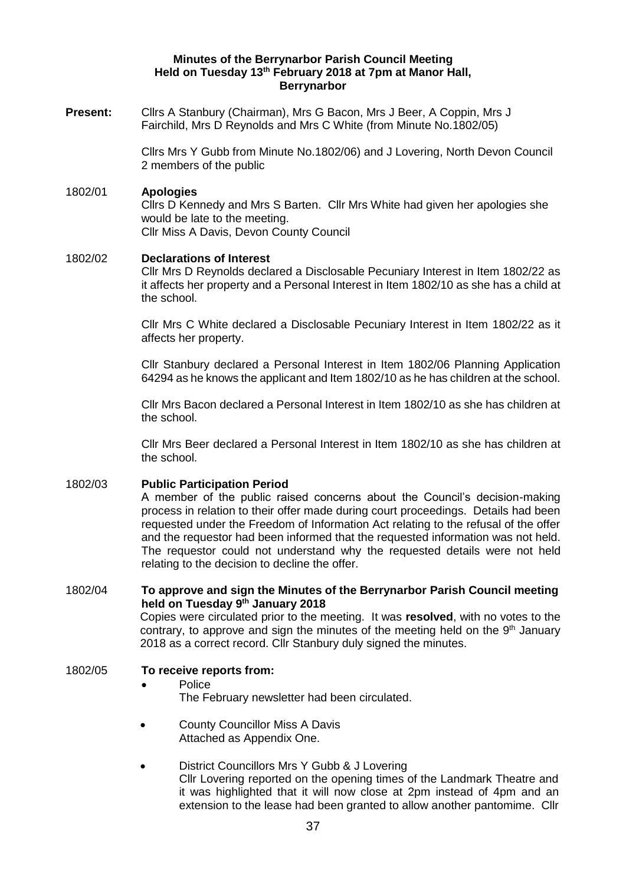## **Minutes of the Berrynarbor Parish Council Meeting Held on Tuesday 13th February 2018 at 7pm at Manor Hall, Berrynarbor**

**Present:** Cllrs A Stanbury (Chairman), Mrs G Bacon, Mrs J Beer, A Coppin, Mrs J Fairchild, Mrs D Reynolds and Mrs C White (from Minute No.1802/05)

> Cllrs Mrs Y Gubb from Minute No.1802/06) and J Lovering, North Devon Council 2 members of the public

### 1802/01 **Apologies**

Cllrs D Kennedy and Mrs S Barten. Cllr Mrs White had given her apologies she would be late to the meeting. Cllr Miss A Davis, Devon County Council

#### 1802/02 **Declarations of Interest**

Cllr Mrs D Reynolds declared a Disclosable Pecuniary Interest in Item 1802/22 as it affects her property and a Personal Interest in Item 1802/10 as she has a child at the school.

Cllr Mrs C White declared a Disclosable Pecuniary Interest in Item 1802/22 as it affects her property.

Cllr Stanbury declared a Personal Interest in Item 1802/06 Planning Application 64294 as he knows the applicant and Item 1802/10 as he has children at the school.

Cllr Mrs Bacon declared a Personal Interest in Item 1802/10 as she has children at the school.

Cllr Mrs Beer declared a Personal Interest in Item 1802/10 as she has children at the school.

#### 1802/03 **Public Participation Period**

A member of the public raised concerns about the Council's decision-making process in relation to their offer made during court proceedings. Details had been requested under the Freedom of Information Act relating to the refusal of the offer and the requestor had been informed that the requested information was not held. The requestor could not understand why the requested details were not held relating to the decision to decline the offer.

# 1802/04 **To approve and sign the Minutes of the Berrynarbor Parish Council meeting held on Tuesday 9 th January 2018**

Copies were circulated prior to the meeting. It was **resolved**, with no votes to the contrary, to approve and sign the minutes of the meeting held on the 9<sup>th</sup> January 2018 as a correct record. Cllr Stanbury duly signed the minutes.

### 1802/05 **To receive reports from:**

#### • Police

The February newsletter had been circulated.

- County Councillor Miss A Davis Attached as Appendix One.
- District Councillors Mrs Y Gubb & J Lovering Cllr Lovering reported on the opening times of the Landmark Theatre and it was highlighted that it will now close at 2pm instead of 4pm and an extension to the lease had been granted to allow another pantomime. Cllr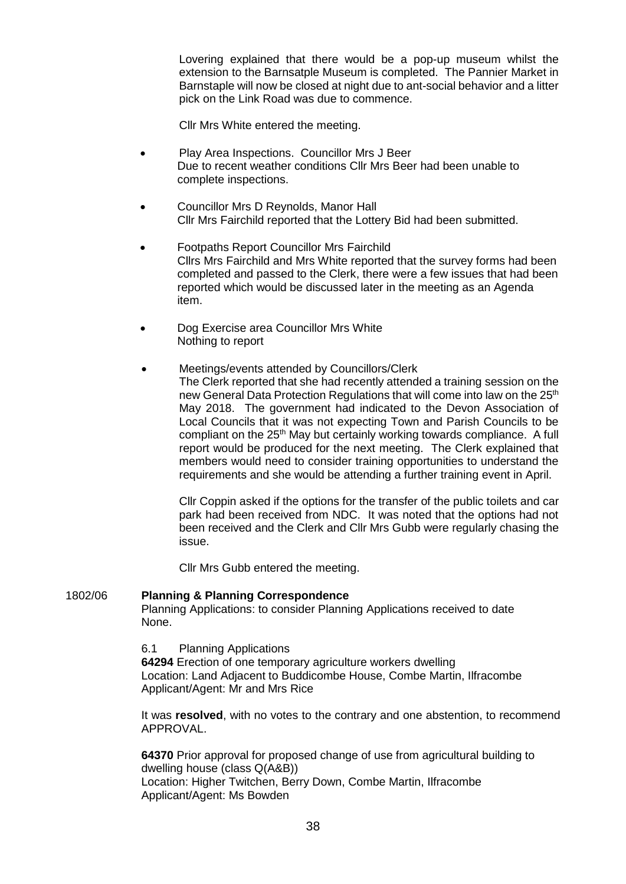Lovering explained that there would be a pop-up museum whilst the extension to the Barnsatple Museum is completed. The Pannier Market in Barnstaple will now be closed at night due to ant-social behavior and a litter pick on the Link Road was due to commence.

Cllr Mrs White entered the meeting.

- Play Area Inspections. Councillor Mrs J Beer Due to recent weather conditions Cllr Mrs Beer had been unable to complete inspections.
- Councillor Mrs D Reynolds, Manor Hall Cllr Mrs Fairchild reported that the Lottery Bid had been submitted.
- Footpaths Report Councillor Mrs Fairchild Cllrs Mrs Fairchild and Mrs White reported that the survey forms had been completed and passed to the Clerk, there were a few issues that had been reported which would be discussed later in the meeting as an Agenda item.
- Dog Exercise area Councillor Mrs White Nothing to report
	- Meetings/events attended by Councillors/Clerk The Clerk reported that she had recently attended a training session on the new General Data Protection Regulations that will come into law on the 25<sup>th</sup> May 2018. The government had indicated to the Devon Association of Local Councils that it was not expecting Town and Parish Councils to be compliant on the 25<sup>th</sup> May but certainly working towards compliance. A full report would be produced for the next meeting. The Clerk explained that members would need to consider training opportunities to understand the requirements and she would be attending a further training event in April.

Cllr Coppin asked if the options for the transfer of the public toilets and car park had been received from NDC. It was noted that the options had not been received and the Clerk and Cllr Mrs Gubb were regularly chasing the issue.

Cllr Mrs Gubb entered the meeting.

#### 1802/06 **Planning & Planning Correspondence**

Planning Applications: to consider Planning Applications received to date None.

6.1 Planning Applications

**64294** Erection of one temporary agriculture workers dwelling Location: Land Adjacent to Buddicombe House, Combe Martin, Ilfracombe Applicant/Agent: Mr and Mrs Rice

It was **resolved**, with no votes to the contrary and one abstention, to recommend APPROVAL.

**64370** Prior approval for proposed change of use from agricultural building to dwelling house (class Q(A&B)) Location: Higher Twitchen, Berry Down, Combe Martin, Ilfracombe Applicant/Agent: Ms Bowden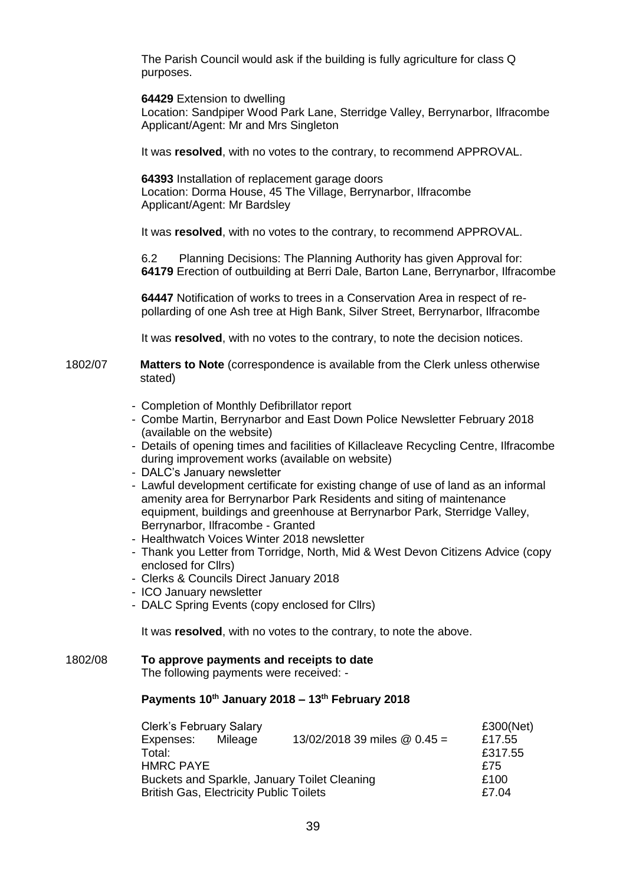The Parish Council would ask if the building is fully agriculture for class Q purposes.

**64429** Extension to dwelling

Location: Sandpiper Wood Park Lane, Sterridge Valley, Berrynarbor, Ilfracombe Applicant/Agent: Mr and Mrs Singleton

It was **resolved**, with no votes to the contrary, to recommend APPROVAL.

**64393** Installation of replacement garage doors Location: Dorma House, 45 The Village, Berrynarbor, Ilfracombe Applicant/Agent: Mr Bardsley

It was **resolved**, with no votes to the contrary, to recommend APPROVAL.

6.2 Planning Decisions: The Planning Authority has given Approval for: **64179** Erection of outbuilding at Berri Dale, Barton Lane, Berrynarbor, Ilfracombe

**64447** Notification of works to trees in a Conservation Area in respect of repollarding of one Ash tree at High Bank, Silver Street, Berrynarbor, Ilfracombe

It was **resolved**, with no votes to the contrary, to note the decision notices.

#### 1802/07 **Matters to Note** (correspondence is available from the Clerk unless otherwise stated)

- Completion of Monthly Defibrillator report
- Combe Martin, Berrynarbor and East Down Police Newsletter February 2018 (available on the website)
- Details of opening times and facilities of Killacleave Recycling Centre, Ilfracombe during improvement works (available on website)
- DALC's January newsletter
- Lawful development certificate for existing change of use of land as an informal amenity area for Berrynarbor Park Residents and siting of maintenance equipment, buildings and greenhouse at Berrynarbor Park, Sterridge Valley, Berrynarbor, Ilfracombe - Granted
- Healthwatch Voices Winter 2018 newsletter
- Thank you Letter from Torridge, North, Mid & West Devon Citizens Advice (copy enclosed for Cllrs)
- Clerks & Councils Direct January 2018
- ICO January newsletter
- DALC Spring Events (copy enclosed for Cllrs)

It was **resolved**, with no votes to the contrary, to note the above.

# 1802/08 **To approve payments and receipts to date**

The following payments were received: -

# **Payments 10th January 2018 – 13th February 2018**

| <b>Clerk's February Salary</b>                 | £300(Net) |                                     |         |
|------------------------------------------------|-----------|-------------------------------------|---------|
| Expenses: Mileage                              |           | 13/02/2018 39 miles $\omega$ 0.45 = | £17.55  |
| Total:                                         |           |                                     | £317.55 |
| <b>HMRC PAYE</b>                               |           |                                     | £75     |
| Buckets and Sparkle, January Toilet Cleaning   |           |                                     | £100    |
| <b>British Gas, Electricity Public Toilets</b> | £7.04     |                                     |         |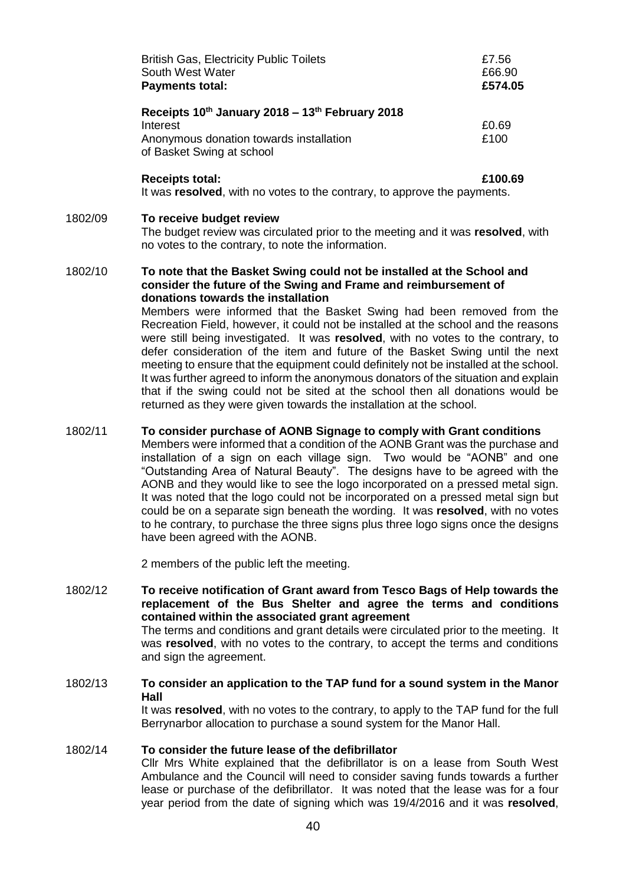| <b>British Gas, Electricity Public Toilets</b>  | £7.56   |
|-------------------------------------------------|---------|
| South West Water                                | £66.90  |
| <b>Payments total:</b>                          | £574.05 |
| Receipts 10th January 2018 - 13th February 2018 |         |
| Interest                                        | £0.69   |
| Anonymous donation towards installation         | £100    |
| of Basket Swing at school                       |         |
| <b>Receipts total:</b>                          | £100.69 |

It was **resolved**, with no votes to the contrary, to approve the payments.

#### 1802/09 **To receive budget review**

The budget review was circulated prior to the meeting and it was **resolved**, with no votes to the contrary, to note the information.

#### 1802/10 **To note that the Basket Swing could not be installed at the School and consider the future of the Swing and Frame and reimbursement of donations towards the installation**

Members were informed that the Basket Swing had been removed from the Recreation Field, however, it could not be installed at the school and the reasons were still being investigated. It was **resolved**, with no votes to the contrary, to defer consideration of the item and future of the Basket Swing until the next meeting to ensure that the equipment could definitely not be installed at the school. It was further agreed to inform the anonymous donators of the situation and explain that if the swing could not be sited at the school then all donations would be returned as they were given towards the installation at the school.

#### 1802/11 **To consider purchase of AONB Signage to comply with Grant conditions**

Members were informed that a condition of the AONB Grant was the purchase and installation of a sign on each village sign. Two would be "AONB" and one "Outstanding Area of Natural Beauty". The designs have to be agreed with the AONB and they would like to see the logo incorporated on a pressed metal sign. It was noted that the logo could not be incorporated on a pressed metal sign but could be on a separate sign beneath the wording. It was **resolved**, with no votes to he contrary, to purchase the three signs plus three logo signs once the designs have been agreed with the AONB.

2 members of the public left the meeting.

- 1802/12 **To receive notification of Grant award from Tesco Bags of Help towards the replacement of the Bus Shelter and agree the terms and conditions contained within the associated grant agreement** The terms and conditions and grant details were circulated prior to the meeting. It was **resolved**, with no votes to the contrary, to accept the terms and conditions and sign the agreement.
- 1802/13 **To consider an application to the TAP fund for a sound system in the Manor Hall** It was **resolved**, with no votes to the contrary, to apply to the TAP fund for the full Berrynarbor allocation to purchase a sound system for the Manor Hall.

#### 1802/14 **To consider the future lease of the defibrillator**

Cllr Mrs White explained that the defibrillator is on a lease from South West Ambulance and the Council will need to consider saving funds towards a further lease or purchase of the defibrillator. It was noted that the lease was for a four year period from the date of signing which was 19/4/2016 and it was **resolved**,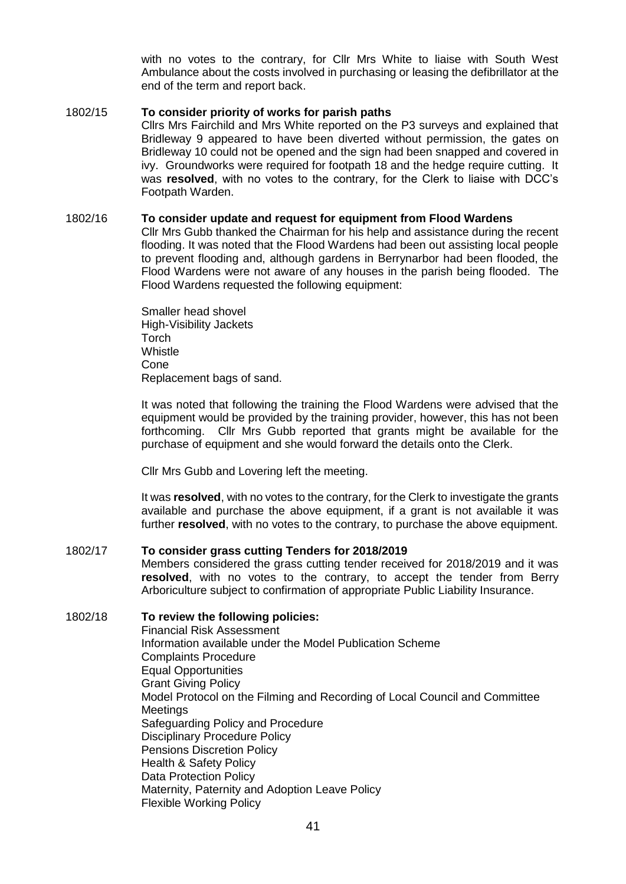with no votes to the contrary, for Cllr Mrs White to liaise with South West Ambulance about the costs involved in purchasing or leasing the defibrillator at the end of the term and report back.

## 1802/15 **To consider priority of works for parish paths**

Cllrs Mrs Fairchild and Mrs White reported on the P3 surveys and explained that Bridleway 9 appeared to have been diverted without permission, the gates on Bridleway 10 could not be opened and the sign had been snapped and covered in ivy. Groundworks were required for footpath 18 and the hedge require cutting. It was **resolved**, with no votes to the contrary, for the Clerk to liaise with DCC's Footpath Warden.

#### 1802/16 **To consider update and request for equipment from Flood Wardens**

Cllr Mrs Gubb thanked the Chairman for his help and assistance during the recent flooding. It was noted that the Flood Wardens had been out assisting local people to prevent flooding and, although gardens in Berrynarbor had been flooded, the Flood Wardens were not aware of any houses in the parish being flooded. The Flood Wardens requested the following equipment:

Smaller head shovel High-Visibility Jackets **Torch Whistle** Cone Replacement bags of sand.

It was noted that following the training the Flood Wardens were advised that the equipment would be provided by the training provider, however, this has not been forthcoming. Cllr Mrs Gubb reported that grants might be available for the purchase of equipment and she would forward the details onto the Clerk.

Cllr Mrs Gubb and Lovering left the meeting.

It was **resolved**, with no votes to the contrary, for the Clerk to investigate the grants available and purchase the above equipment, if a grant is not available it was further **resolved**, with no votes to the contrary, to purchase the above equipment.

#### 1802/17 **To consider grass cutting Tenders for 2018/2019**

Members considered the grass cutting tender received for 2018/2019 and it was **resolved**, with no votes to the contrary, to accept the tender from Berry Arboriculture subject to confirmation of appropriate Public Liability Insurance.

### 1802/18 **To review the following policies:**  Financial Risk Assessment

Information available under the Model Publication Scheme Complaints Procedure Equal Opportunities Grant Giving Policy Model Protocol on the Filming and Recording of Local Council and Committee **Meetings** Safeguarding Policy and Procedure Disciplinary Procedure Policy Pensions Discretion Policy Health & Safety Policy Data Protection Policy Maternity, Paternity and Adoption Leave Policy Flexible Working Policy